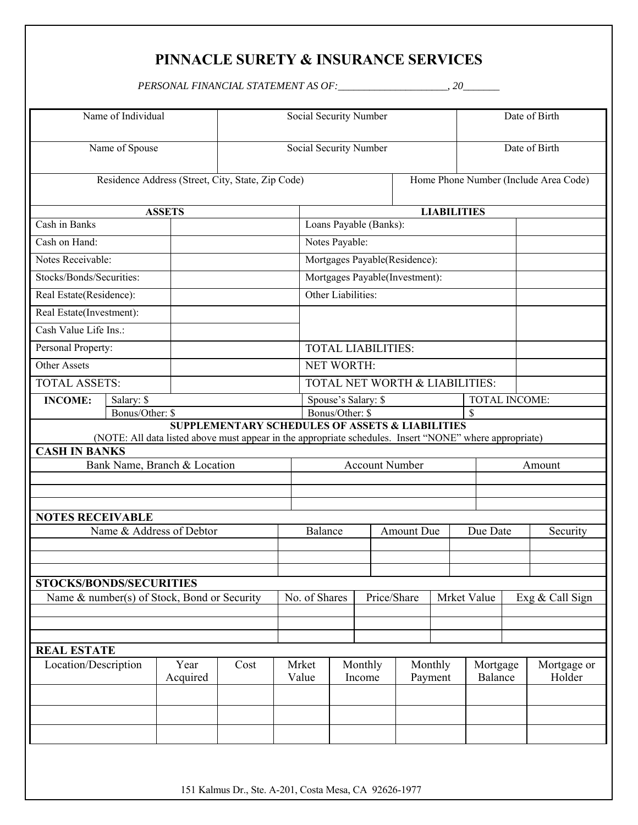## **PINNACLE SURETY & INSURANCE SERVICES**

*PERSONAL FINANCIAL STATEMENT AS OF:\_\_\_\_\_\_\_\_\_\_\_\_\_\_\_\_\_\_\_\_\_, 20\_\_\_\_\_\_\_*

| Name of Individual                          |                                                   |                                                                                                         | Social Security Number                                     |                                |                                |                                       |                            |                    | Date of Birth |                     |                 |                       |  |
|---------------------------------------------|---------------------------------------------------|---------------------------------------------------------------------------------------------------------|------------------------------------------------------------|--------------------------------|--------------------------------|---------------------------------------|----------------------------|--------------------|---------------|---------------------|-----------------|-----------------------|--|
| Name of Spouse                              |                                                   |                                                                                                         | Social Security Number                                     |                                |                                |                                       |                            |                    | Date of Birth |                     |                 |                       |  |
|                                             | Residence Address (Street, City, State, Zip Code) |                                                                                                         |                                                            |                                |                                | Home Phone Number (Include Area Code) |                            |                    |               |                     |                 |                       |  |
| <b>ASSETS</b>                               |                                                   |                                                                                                         |                                                            |                                | <b>LIABILITIES</b>             |                                       |                            |                    |               |                     |                 |                       |  |
| Cash in Banks                               |                                                   |                                                                                                         |                                                            | Loans Payable (Banks):         |                                |                                       |                            |                    |               |                     |                 |                       |  |
| Cash on Hand:                               |                                                   |                                                                                                         |                                                            | Notes Payable:                 |                                |                                       |                            |                    |               |                     |                 |                       |  |
| Notes Receivable:                           |                                                   |                                                                                                         |                                                            | Mortgages Payable(Residence):  |                                |                                       |                            |                    |               |                     |                 |                       |  |
| Stocks/Bonds/Securities:                    |                                                   |                                                                                                         |                                                            | Mortgages Payable(Investment): |                                |                                       |                            |                    |               |                     |                 |                       |  |
| Real Estate(Residence):                     |                                                   |                                                                                                         |                                                            |                                | Other Liabilities:             |                                       |                            |                    |               |                     |                 |                       |  |
| Real Estate(Investment):                    |                                                   |                                                                                                         |                                                            |                                |                                |                                       |                            |                    |               |                     |                 |                       |  |
| Cash Value Life Ins.:                       |                                                   |                                                                                                         |                                                            |                                |                                |                                       |                            |                    |               |                     |                 |                       |  |
| Personal Property:                          |                                                   |                                                                                                         |                                                            | <b>TOTAL LIABILITIES:</b>      |                                |                                       |                            |                    |               |                     |                 |                       |  |
| <b>Other Assets</b>                         |                                                   |                                                                                                         |                                                            |                                | NET WORTH:                     |                                       |                            |                    |               |                     |                 |                       |  |
| <b>TOTAL ASSETS:</b>                        |                                                   |                                                                                                         |                                                            |                                | TOTAL NET WORTH & LIABILITIES: |                                       |                            |                    |               |                     |                 |                       |  |
| <b>INCOME:</b>                              | Salary: \$                                        |                                                                                                         |                                                            | Spouse's Salary: \$            |                                |                                       |                            |                    |               | TOTAL INCOME:       |                 |                       |  |
|                                             |                                                   | Bonus/Other: \$<br>\$                                                                                   |                                                            |                                |                                |                                       |                            |                    |               |                     |                 |                       |  |
|                                             |                                                   | (NOTE: All data listed above must appear in the appropriate schedules. Insert "NONE" where appropriate) | <b>SUPPLEMENTARY SCHEDULES OF ASSETS &amp; LIABILITIES</b> |                                |                                |                                       |                            |                    |               |                     |                 |                       |  |
| <b>CASH IN BANKS</b>                        |                                                   |                                                                                                         |                                                            |                                |                                |                                       |                            |                    |               |                     |                 |                       |  |
|                                             |                                                   | Bank Name, Branch & Location                                                                            |                                                            |                                | <b>Account Number</b>          |                                       |                            |                    |               |                     | Amount          |                       |  |
|                                             |                                                   |                                                                                                         |                                                            |                                |                                |                                       |                            |                    |               |                     |                 |                       |  |
|                                             |                                                   |                                                                                                         |                                                            |                                |                                |                                       |                            |                    |               |                     |                 |                       |  |
| <b>NOTES RECEIVABLE</b>                     |                                                   |                                                                                                         |                                                            |                                |                                |                                       |                            |                    |               |                     |                 |                       |  |
| Name & Address of Debtor                    |                                                   |                                                                                                         |                                                            | Balance                        |                                |                                       |                            | <b>Amount Due</b>  |               |                     | Due Date        | Security              |  |
|                                             |                                                   |                                                                                                         |                                                            |                                |                                |                                       |                            |                    |               |                     |                 |                       |  |
|                                             |                                                   |                                                                                                         |                                                            |                                |                                |                                       |                            |                    |               |                     |                 |                       |  |
| <b>STOCKS/BONDS/SECURITIES</b>              |                                                   |                                                                                                         |                                                            |                                |                                |                                       |                            |                    |               |                     |                 |                       |  |
| Name & number(s) of Stock, Bond or Security |                                                   |                                                                                                         | No. of Shares                                              |                                |                                |                                       | Price/Share<br>Mrket Value |                    |               |                     | Exg & Call Sign |                       |  |
|                                             |                                                   |                                                                                                         |                                                            |                                |                                |                                       |                            |                    |               |                     |                 |                       |  |
|                                             |                                                   |                                                                                                         |                                                            |                                |                                |                                       |                            |                    |               |                     |                 |                       |  |
| <b>REAL ESTATE</b>                          |                                                   |                                                                                                         |                                                            |                                |                                |                                       |                            |                    |               |                     |                 |                       |  |
| Location/Description                        |                                                   | Year<br>Cost<br>Acquired                                                                                |                                                            | Mrket<br>Value                 |                                | Monthly<br>Income                     |                            | Monthly<br>Payment |               | Mortgage<br>Balance |                 | Mortgage or<br>Holder |  |
|                                             |                                                   |                                                                                                         |                                                            |                                |                                |                                       |                            |                    |               |                     |                 |                       |  |
|                                             |                                                   |                                                                                                         |                                                            |                                |                                |                                       |                            |                    |               |                     |                 |                       |  |
|                                             |                                                   |                                                                                                         |                                                            |                                |                                |                                       |                            |                    |               |                     |                 |                       |  |